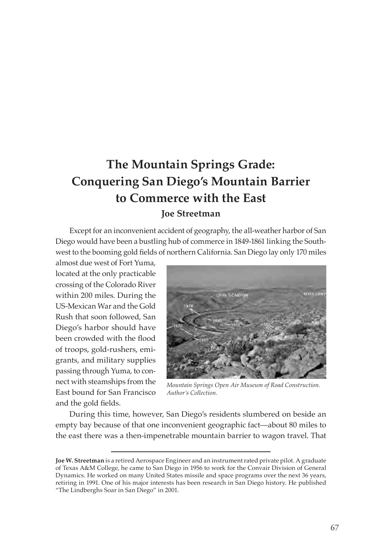# **The Mountain Springs Grade: Conquering San Diego's Mountain Barrier to Commerce with the East Joe Streetman**

Except for an inconvenient accident of geography, the all-weather harbor of San Diego would have been a bustling hub of commerce in 1849-1861 linking the Southwest to the booming gold fields of northern California. San Diego lay only 170 miles

almost due west of Fort Yuma, located at the only practicable crossing of the Colorado River within 200 miles. During the US-Mexican War and the Gold Rush that soon followed, San Diego's harbor should have been crowded with the flood of troops, gold-rushers, emigrants, and military supplies passing through Yuma, to connect with steamships from the East bound for San Francisco and the gold fields.



*Mountain Springs Open Air Museum of Road Construction. Author's Collection.*

During this time, however, San Diego's residents slumbered on beside an empty bay because of that one inconvenient geographic fact—about 80 miles to the east there was a then-impenetrable mountain barrier to wagon travel. That

**Joe W. Streetman** is a retired Aerospace Engineer and an instrument rated private pilot. A graduate of Texas A&M College, he came to San Diego in 1956 to work for the Convair Division of General Dynamics. He worked on many United States missile and space programs over the next 36 years, retiring in 1991. One of his major interests has been research in San Diego history. He published "The Lindberghs Soar in San Diego" in 2001.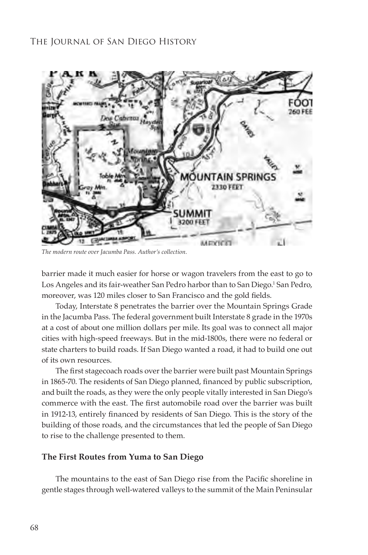

*The modern route over Jacumba Pass. Author's collection.*

barrier made it much easier for horse or wagon travelers from the east to go to Los Angeles and its fair-weather San Pedro harbor than to San Diego.<sup>1</sup> San Pedro, moreover, was 120 miles closer to San Francisco and the gold fields.

Today, Interstate 8 penetrates the barrier over the Mountain Springs Grade in the Jacumba Pass. The federal government built Interstate 8 grade in the 1970s at a cost of about one million dollars per mile. Its goal was to connect all major cities with high-speed freeways. But in the mid-1800s, there were no federal or state charters to build roads. If San Diego wanted a road, it had to build one out of its own resources.

The first stagecoach roads over the barrier were built past Mountain Springs in 1865-70. The residents of San Diego planned, financed by public subscription, and built the roads, as they were the only people vitally interested in San Diego's commerce with the east. The first automobile road over the barrier was built in 1912-13, entirely financed by residents of San Diego. This is the story of the building of those roads, and the circumstances that led the people of San Diego to rise to the challenge presented to them.

#### **The First Routes from Yuma to San Diego**

The mountains to the east of San Diego rise from the Pacific shoreline in gentle stages through well-watered valleys to the summit of the Main Peninsular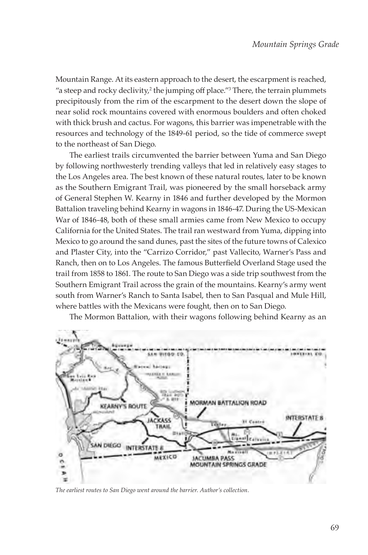Mountain Range. At its eastern approach to the desert, the escarpment is reached, "a steep and rocky declivity, $^2$  the jumping off place." $^3$  There, the terrain plummets precipitously from the rim of the escarpment to the desert down the slope of near solid rock mountains covered with enormous boulders and often choked with thick brush and cactus. For wagons, this barrier was impenetrable with the resources and technology of the 1849-61 period, so the tide of commerce swept to the northeast of San Diego.

The earliest trails circumvented the barrier between Yuma and San Diego by following northwesterly trending valleys that led in relatively easy stages to the Los Angeles area. The best known of these natural routes, later to be known as the Southern Emigrant Trail, was pioneered by the small horseback army of General Stephen W. Kearny in 1846 and further developed by the Mormon Battalion traveling behind Kearny in wagons in 1846-47. During the US-Mexican War of 1846-48, both of these small armies came from New Mexico to occupy California for the United States. The trail ran westward from Yuma, dipping into Mexico to go around the sand dunes, past the sites of the future towns of Calexico and Plaster City, into the "Carrizo Corridor," past Vallecito, Warner's Pass and Ranch, then on to Los Angeles. The famous Butterfield Overland Stage used the trail from 1858 to 1861. The route to San Diego was a side trip southwest from the Southern Emigrant Trail across the grain of the mountains. Kearny's army went south from Warner's Ranch to Santa Isabel, then to San Pasqual and Mule Hill, where battles with the Mexicans were fought, then on to San Diego.



The Mormon Battalion, with their wagons following behind Kearny as an

*The earliest routes to San Diego went around the barrier. Author's collection.*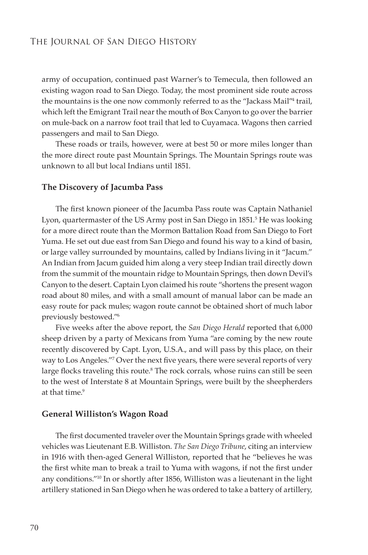army of occupation, continued past Warner's to Temecula, then followed an existing wagon road to San Diego. Today, the most prominent side route across the mountains is the one now commonly referred to as the "Jackass Mail"4 trail, which left the Emigrant Trail near the mouth of Box Canyon to go over the barrier on mule-back on a narrow foot trail that led to Cuyamaca. Wagons then carried passengers and mail to San Diego.

These roads or trails, however, were at best 50 or more miles longer than the more direct route past Mountain Springs. The Mountain Springs route was unknown to all but local Indians until 1851.

#### **The Discovery of Jacumba Pass**

The first known pioneer of the Jacumba Pass route was Captain Nathaniel Lyon, quartermaster of the US Army post in San Diego in 1851.<sup>5</sup> He was looking for a more direct route than the Mormon Battalion Road from San Diego to Fort Yuma. He set out due east from San Diego and found his way to a kind of basin, or large valley surrounded by mountains, called by Indians living in it "Jacum." An Indian from Jacum guided him along a very steep Indian trail directly down from the summit of the mountain ridge to Mountain Springs, then down Devil's Canyon to the desert. Captain Lyon claimed his route "shortens the present wagon road about 80 miles, and with a small amount of manual labor can be made an easy route for pack mules; wagon route cannot be obtained short of much labor previously bestowed."<sup>6</sup>

Five weeks after the above report, the *San Diego Herald* reported that 6,000 sheep driven by a party of Mexicans from Yuma "are coming by the new route recently discovered by Capt. Lyon, U.S.A., and will pass by this place, on their way to Los Angeles."7 Over the next five years, there were several reports of very large flocks traveling this route.<sup>8</sup> The rock corrals, whose ruins can still be seen to the west of Interstate 8 at Mountain Springs, were built by the sheepherders at that time.<sup>9</sup>

#### **General Williston's Wagon Road**

The first documented traveler over the Mountain Springs grade with wheeled vehicles was Lieutenant E.B. Williston. *The San Diego Tribune*, citing an interview in 1916 with then-aged General Williston, reported that he "believes he was the first white man to break a trail to Yuma with wagons, if not the first under any conditions."10 In or shortly after 1856, Williston was a lieutenant in the light artillery stationed in San Diego when he was ordered to take a battery of artillery,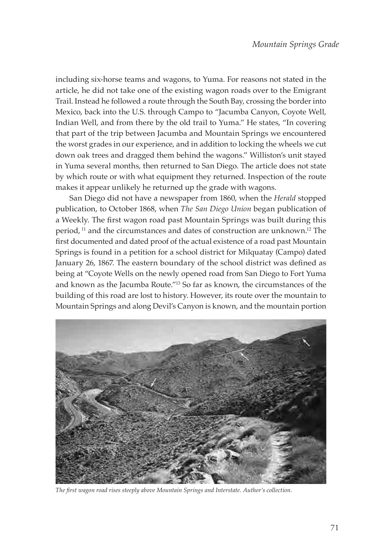including six-horse teams and wagons, to Yuma. For reasons not stated in the article, he did not take one of the existing wagon roads over to the Emigrant Trail. Instead he followed a route through the South Bay, crossing the border into Mexico, back into the U.S. through Campo to "Jacumba Canyon, Coyote Well, Indian Well, and from there by the old trail to Yuma." He states, "In covering that part of the trip between Jacumba and Mountain Springs we encountered the worst grades in our experience, and in addition to locking the wheels we cut down oak trees and dragged them behind the wagons." Williston's unit stayed in Yuma several months, then returned to San Diego. The article does not state by which route or with what equipment they returned. Inspection of the route makes it appear unlikely he returned up the grade with wagons.

San Diego did not have a newspaper from 1860, when the *Herald* stopped publication, to October 1868, when *The San Diego Union* began publication of a Weekly. The first wagon road past Mountain Springs was built during this period,<sup>11</sup> and the circumstances and dates of construction are unknown.<sup>12</sup> The first documented and dated proof of the actual existence of a road past Mountain Springs is found in a petition for a school district for Milquatay (Campo) dated January 26, 1867. The eastern boundary of the school district was defined as being at "Coyote Wells on the newly opened road from San Diego to Fort Yuma and known as the Jacumba Route."13 So far as known, the circumstances of the building of this road are lost to history. However, its route over the mountain to Mountain Springs and along Devil's Canyon is known, and the mountain portion



*The first wagon road rises steeply above Mountain Springs and Interstate. Author's collection.*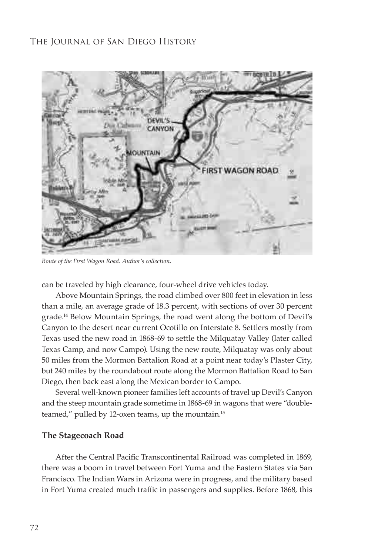

*Route of the First Wagon Road. Author's collection.*

can be traveled by high clearance, four-wheel drive vehicles today.

Above Mountain Springs, the road climbed over 800 feet in elevation in less than a mile, an average grade of 18.3 percent, with sections of over 30 percent grade.14 Below Mountain Springs, the road went along the bottom of Devil's Canyon to the desert near current Ocotillo on Interstate 8. Settlers mostly from Texas used the new road in 1868-69 to settle the Milquatay Valley (later called Texas Camp, and now Campo). Using the new route, Milquatay was only about 50 miles from the Mormon Battalion Road at a point near today's Plaster City, but 240 miles by the roundabout route along the Mormon Battalion Road to San Diego, then back east along the Mexican border to Campo.

Several well-known pioneer families left accounts of travel up Devil's Canyon and the steep mountain grade sometime in 1868-69 in wagons that were "doubleteamed," pulled by 12-oxen teams, up the mountain.<sup>15</sup>

#### **The Stagecoach Road**

After the Central Pacific Transcontinental Railroad was completed in 1869, there was a boom in travel between Fort Yuma and the Eastern States via San Francisco. The Indian Wars in Arizona were in progress, and the military based in Fort Yuma created much traffic in passengers and supplies. Before 1868, this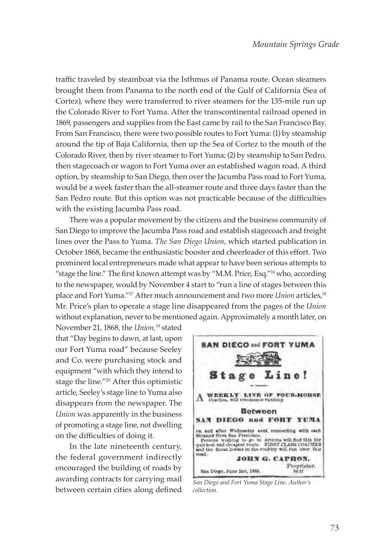traffic traveled by steamboat via the Isthmus of Panama route. Ocean steamers brought them from Panama to the north end of the Gulf of California (Sea of Cortez), where they were transferred to river steamers for the 135-mile run up the Colorado River to Fort Yuma. After the transcontinental railroad opened in 1869, passengers and supplies from the East came by rail to the San Francisco Bay. From San Francisco, there were two possible routes to Fort Yuma: (1) by steamship around the tip of Baja California, then up the Sea of Cortez to the mouth of the Colorado River, then by river steamer to Fort Yuma; (2) by steamship to San Pedro, then stagecoach or wagon to Fort Yuma over an established wagon road. A third option, by steamship to San Diego, then over the Jacumba Pass road to Fort Yuma, would be a week faster than the all-steamer route and three days faster than the San Pedro route. But this option was not practicable because of the difficulties with the existing Jacumba Pass road.

There was a popular movement by the citizens and the business community of San Diego to improve the Jacumba Pass road and establish stagecoach and freight lines over the Pass to Yuma. *The San Diego Union*, which started publication in October 1868, became the enthusiastic booster and cheerleader of this effort. Two prominent local entrepreneurs made what appear to have been serious attempts to "stage the line." The first known attempt was by "M.M. Price, Esq."<sup>16</sup> who, according to the newspaper, would by November 4 start to "run a line of stages between this place and Fort Yuma."<sup>17</sup> After much announcement and two more *Union* articles,<sup>18</sup> Mr. Price's plan to operate a stage line disappeared from the pages of the *Union* without explanation, never to be mentioned again. Approximately a month later, on

November 21, 1868, the *Union,*19 stated that "Day begins to dawn, at last, upon our Fort Yuma road" because Seeley and Co. were purchasing stock and equipment "with which they intend to stage the line."20 After this optimistic article, Seeley's stage line to Yuma also disappears from the newspaper. The *Union* was apparently in the business of promoting a stage line, not dwelling on the difficulties of doing it.

In the late nineteenth century, the federal government indirectly encouraged the building of roads by awarding contracts for carrying mail between certain cities along defined



*San Diego and Fort Yuma Stage Line. Author's collection.*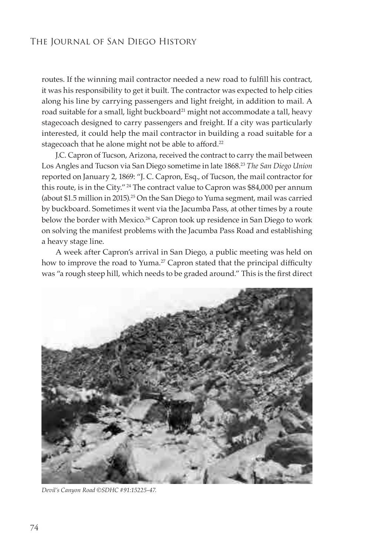routes. If the winning mail contractor needed a new road to fulfill his contract, it was his responsibility to get it built. The contractor was expected to help cities along his line by carrying passengers and light freight, in addition to mail. A road suitable for a small, light buckboard<sup>21</sup> might not accommodate a tall, heavy stagecoach designed to carry passengers and freight. If a city was particularly interested, it could help the mail contractor in building a road suitable for a stagecoach that he alone might not be able to afford.<sup>22</sup>

J.C. Capron of Tucson, Arizona, received the contract to carry the mail between Los Angles and Tucson via San Diego sometime in late 1868.23 *The San Diego Union*  reported on January 2, 1869: "J. C. Capron, Esq., of Tucson, the mail contractor for this route, is in the City."<sup>24</sup> The contract value to Capron was \$84,000 per annum (about \$1.5 million in 2015).<sup>25</sup> On the San Diego to Yuma segment, mail was carried by buckboard. Sometimes it went via the Jacumba Pass, at other times by a route below the border with Mexico.<sup>26</sup> Capron took up residence in San Diego to work on solving the manifest problems with the Jacumba Pass Road and establishing a heavy stage line.

A week after Capron's arrival in San Diego, a public meeting was held on how to improve the road to Yuma.<sup>27</sup> Capron stated that the principal difficulty was "a rough steep hill, which needs to be graded around." This is the first direct



*Devil's Canyon Road ©SDHC #91:15225-47.*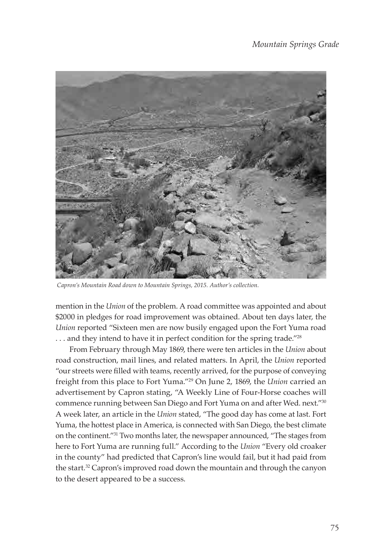

 *Capron's Mountain Road down to Mountain Springs, 2015. Author's collection.*

mention in the *Union* of the problem. A road committee was appointed and about \$2000 in pledges for road improvement was obtained. About ten days later, the *Union* reported "Sixteen men are now busily engaged upon the Fort Yuma road ... and they intend to have it in perfect condition for the spring trade."<sup>28</sup>

From February through May 1869, there were ten articles in the *Union* about road construction, mail lines, and related matters. In April, the *Union* reported "our streets were filled with teams, recently arrived, for the purpose of conveying freight from this place to Fort Yuma."<sup>29</sup> On June 2, 1869, the *Union* carried an advertisement by Capron stating, "A Weekly Line of Four-Horse coaches will commence running between San Diego and Fort Yuma on and after Wed. next."30 A week later, an article in the *Union* stated, "The good day has come at last. Fort Yuma, the hottest place in America, is connected with San Diego, the best climate on the continent."31 Two months later, the newspaper announced, "The stages from here to Fort Yuma are running full." According to the *Union* "Every old croaker in the county" had predicted that Capron's line would fail, but it had paid from the start.<sup>32</sup> Capron's improved road down the mountain and through the canyon to the desert appeared to be a success.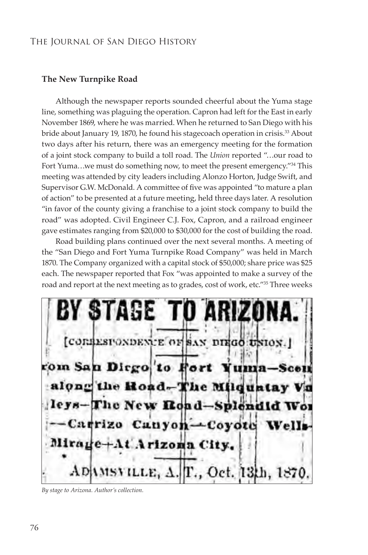#### **The New Turnpike Road**

Although the newspaper reports sounded cheerful about the Yuma stage line, something was plaguing the operation. Capron had left for the East in early November 1869, where he was married. When he returned to San Diego with his bride about January 19, 1870, he found his stagecoach operation in crisis.<sup>33</sup> About two days after his return, there was an emergency meeting for the formation of a joint stock company to build a toll road. The *Union* reported "…our road to Fort Yuma...we must do something now, to meet the present emergency."<sup>34</sup> This meeting was attended by city leaders including Alonzo Horton, Judge Swift, and Supervisor G.W. McDonald. A committee of five was appointed "to mature a plan of action" to be presented at a future meeting, held three days later. A resolution "in favor of the county giving a franchise to a joint stock company to build the road" was adopted. Civil Engineer C.J. Fox, Capron, and a railroad engineer gave estimates ranging from \$20,000 to \$30,000 for the cost of building the road.

Road building plans continued over the next several months. A meeting of the "San Diego and Fort Yuma Turnpike Road Company" was held in March 1870. The Company organized with a capital stock of \$50,000; share price was \$25 each. The newspaper reported that Fox "was appointed to make a survey of the road and report at the next meeting as to grades, cost of work, etc."<sup>35</sup> Three weeks

**TAGE** [CORRESPONDENCE OF SAN DIEGO UNION.] rom San Dirgo to Fort Yumaalong the Road-The Milquatay Va leys-The New Road-Splend Carrizo Canyon-Coyote Mirage+At Arizona City.  $\Lambda$ DAMSVILLE,  $\Delta$ . T., Oct. 13th, 1870.

*By stage to Arizona. Author's collection.*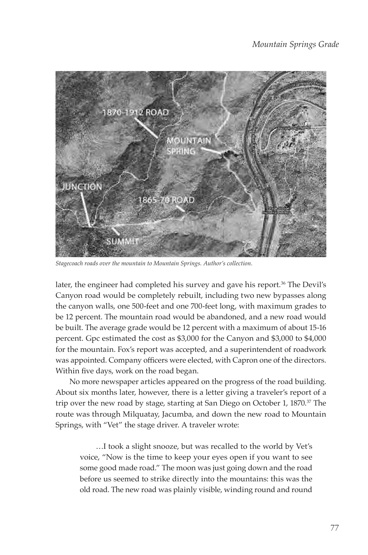

*Stagecoach roads over the mountain to Mountain Springs. Author's collection.*

later, the engineer had completed his survey and gave his report.<sup>36</sup> The Devil's Canyon road would be completely rebuilt, including two new bypasses along the canyon walls, one 500-feet and one 700-feet long, with maximum grades to be 12 percent. The mountain road would be abandoned, and a new road would be built. The average grade would be 12 percent with a maximum of about 15-16 percent. Gpc estimated the cost as \$3,000 for the Canyon and \$3,000 to \$4,000 for the mountain. Fox's report was accepted, and a superintendent of roadwork was appointed. Company officers were elected, with Capron one of the directors. Within five days, work on the road began.

No more newspaper articles appeared on the progress of the road building. About six months later, however, there is a letter giving a traveler's report of a trip over the new road by stage, starting at San Diego on October 1, 1870.<sup>37</sup> The route was through Milquatay, Jacumba, and down the new road to Mountain Springs, with "Vet" the stage driver. A traveler wrote:

…I took a slight snooze, but was recalled to the world by Vet's voice, "Now is the time to keep your eyes open if you want to see some good made road." The moon was just going down and the road before us seemed to strike directly into the mountains: this was the old road. The new road was plainly visible, winding round and round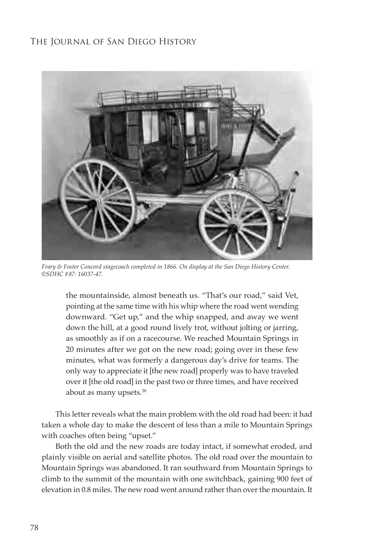

*Frary & Foster Concord stagecoach completed in 1866. On display at the San Diego History Center. ©SDHC #87: 16037-47.*

the mountainside, almost beneath us. "That's our road," said Vet, pointing at the same time with his whip where the road went wending downward. "Get up," and the whip snapped, and away we went down the hill, at a good round lively trot, without jolting or jarring, as smoothly as if on a racecourse. We reached Mountain Springs in 20 minutes after we got on the new road; going over in these few minutes, what was formerly a dangerous day's drive for teams. The only way to appreciate it [the new road] properly was to have traveled over it [the old road] in the past two or three times, and have received about as many upsets.38

This letter reveals what the main problem with the old road had been: it had taken a whole day to make the descent of less than a mile to Mountain Springs with coaches often being "upset."

Both the old and the new roads are today intact, if somewhat eroded, and plainly visible on aerial and satellite photos. The old road over the mountain to Mountain Springs was abandoned. It ran southward from Mountain Springs to climb to the summit of the mountain with one switchback, gaining 900 feet of elevation in 0.8 miles. The new road went around rather than over the mountain. It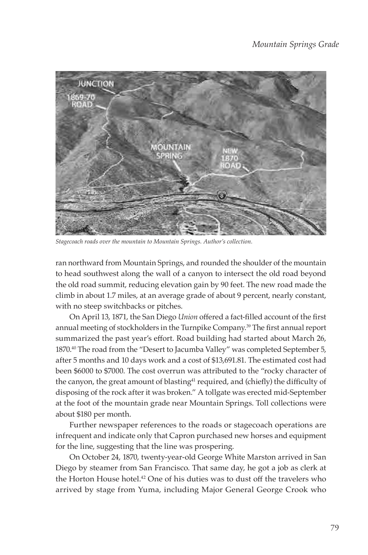

*Stagecoach roads over the mountain to Mountain Springs. Author's collection.* 

ran northward from Mountain Springs, and rounded the shoulder of the mountain to head southwest along the wall of a canyon to intersect the old road beyond the old road summit, reducing elevation gain by 90 feet. The new road made the climb in about 1.7 miles, at an average grade of about 9 percent, nearly constant, with no steep switchbacks or pitches.

On April 13, 1871, the San Diego *Union* offered a fact-filled account of the first annual meeting of stockholders in the Turnpike Company.39 The first annual report summarized the past year's effort. Road building had started about March 26, 1870.40 The road from the "Desert to Jacumba Valley" was completed September 5, after 5 months and 10 days work and a cost of \$13,691.81. The estimated cost had been \$6000 to \$7000. The cost overrun was attributed to the "rocky character of the canyon, the great amount of blasting<sup>41</sup> required, and (chiefly) the difficulty of disposing of the rock after it was broken." A tollgate was erected mid-September at the foot of the mountain grade near Mountain Springs. Toll collections were about \$180 per month.

Further newspaper references to the roads or stagecoach operations are infrequent and indicate only that Capron purchased new horses and equipment for the line, suggesting that the line was prospering.

On October 24, 1870, twenty-year-old George White Marston arrived in San Diego by steamer from San Francisco. That same day, he got a job as clerk at the Horton House hotel.<sup>42</sup> One of his duties was to dust off the travelers who arrived by stage from Yuma, including Major General George Crook who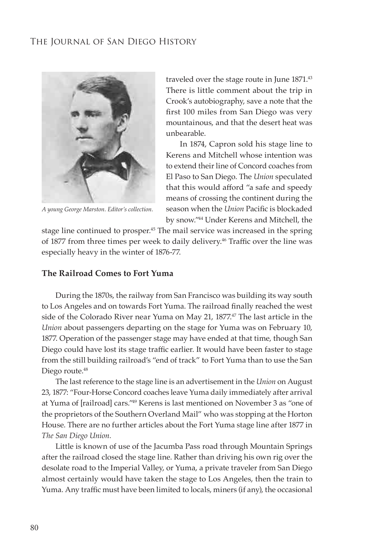

*A young George Marston. Editor's collection.*

traveled over the stage route in June 1871.43 There is little comment about the trip in Crook's autobiography, save a note that the first 100 miles from San Diego was very mountainous, and that the desert heat was unbearable.

In 1874, Capron sold his stage line to Kerens and Mitchell whose intention was to extend their line of Concord coaches from El Paso to San Diego. The *Union* speculated that this would afford "a safe and speedy means of crossing the continent during the season when the *Union* Pacific is blockaded by snow."44 Under Kerens and Mitchell, the

stage line continued to prosper.<sup>45</sup> The mail service was increased in the spring of 1877 from three times per week to daily delivery.<sup>46</sup> Traffic over the line was especially heavy in the winter of 1876-77.

#### **The Railroad Comes to Fort Yuma**

During the 1870s, the railway from San Francisco was building its way south to Los Angeles and on towards Fort Yuma. The railroad finally reached the west side of the Colorado River near Yuma on May 21, 1877.<sup>47</sup> The last article in the *Union* about passengers departing on the stage for Yuma was on February 10, 1877. Operation of the passenger stage may have ended at that time, though San Diego could have lost its stage traffic earlier. It would have been faster to stage from the still building railroad's "end of track" to Fort Yuma than to use the San Diego route.<sup>48</sup>

The last reference to the stage line is an advertisement in the *Union* on August 23, 1877: "Four-Horse Concord coaches leave Yuma daily immediately after arrival at Yuma of [railroad] cars."49 Kerens is last mentioned on November 3 as "one of the proprietors of the Southern Overland Mail" who was stopping at the Horton House. There are no further articles about the Fort Yuma stage line after 1877 in *The San Diego Union.* 

Little is known of use of the Jacumba Pass road through Mountain Springs after the railroad closed the stage line. Rather than driving his own rig over the desolate road to the Imperial Valley, or Yuma, a private traveler from San Diego almost certainly would have taken the stage to Los Angeles, then the train to Yuma. Any traffic must have been limited to locals, miners (if any), the occasional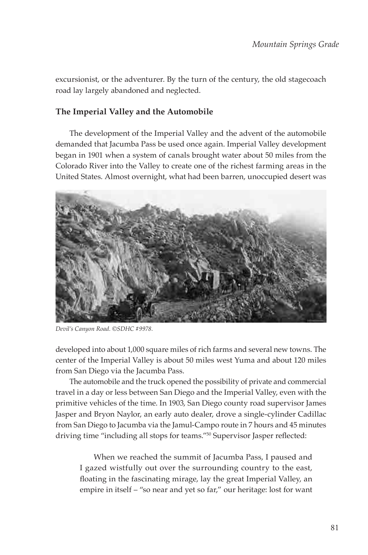excursionist, or the adventurer. By the turn of the century, the old stagecoach road lay largely abandoned and neglected.

## **The Imperial Valley and the Automobile**

The development of the Imperial Valley and the advent of the automobile demanded that Jacumba Pass be used once again. Imperial Valley development began in 1901 when a system of canals brought water about 50 miles from the Colorado River into the Valley to create one of the richest farming areas in the United States. Almost overnight, what had been barren, unoccupied desert was



*Devil's Canyon Road. ©SDHC #9978.*

developed into about 1,000 square miles of rich farms and several new towns. The center of the Imperial Valley is about 50 miles west Yuma and about 120 miles from San Diego via the Jacumba Pass.

The automobile and the truck opened the possibility of private and commercial travel in a day or less between San Diego and the Imperial Valley, even with the primitive vehicles of the time. In 1903, San Diego county road supervisor James Jasper and Bryon Naylor, an early auto dealer, drove a single-cylinder Cadillac from San Diego to Jacumba via the Jamul-Campo route in 7 hours and 45 minutes driving time "including all stops for teams."50 Supervisor Jasper reflected:

When we reached the summit of Jacumba Pass, I paused and I gazed wistfully out over the surrounding country to the east, floating in the fascinating mirage, lay the great Imperial Valley, an empire in itself – "so near and yet so far," our heritage: lost for want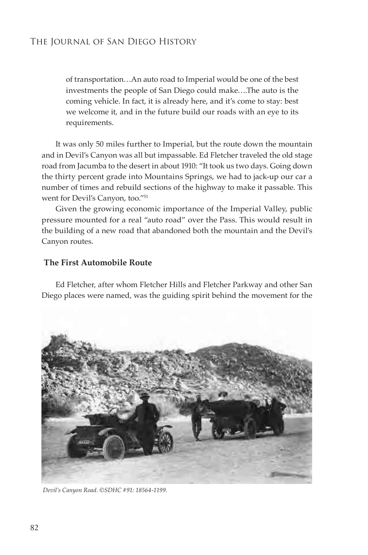of transportation…An auto road to Imperial would be one of the best investments the people of San Diego could make….The auto is the coming vehicle. In fact, it is already here, and it's come to stay: best we welcome it, and in the future build our roads with an eye to its requirements.

It was only 50 miles further to Imperial, but the route down the mountain and in Devil's Canyon was all but impassable. Ed Fletcher traveled the old stage road from Jacumba to the desert in about 1910: "It took us two days. Going down the thirty percent grade into Mountains Springs, we had to jack-up our car a number of times and rebuild sections of the highway to make it passable. This went for Devil's Canyon, too."51

Given the growing economic importance of the Imperial Valley, public pressure mounted for a real "auto road" over the Pass. This would result in the building of a new road that abandoned both the mountain and the Devil's Canyon routes.

#### **The First Automobile Route**

Ed Fletcher, after whom Fletcher Hills and Fletcher Parkway and other San Diego places were named, was the guiding spirit behind the movement for the



 *Devil's Canyon Road. ©SDHC #91: 18564-1199.*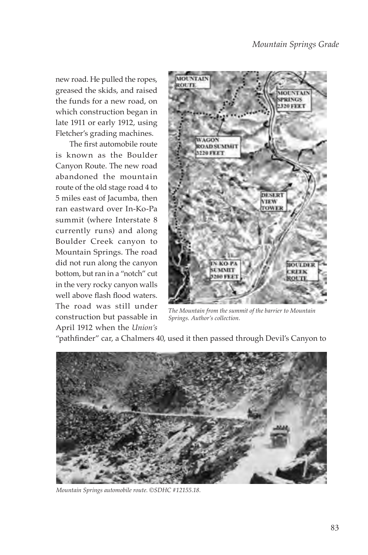new road. He pulled the ropes, greased the skids, and raised the funds for a new road, on which construction began in late 1911 or early 1912, using Fletcher's grading machines.

The first automobile route is known as the Boulder Canyon Route. The new road abandoned the mountain route of the old stage road 4 to 5 miles east of Jacumba, then ran eastward over In-Ko-Pa summit (where Interstate 8 currently runs) and along Boulder Creek canyon to Mountain Springs. The road did not run along the canyon bottom, but ran in a "notch" cut in the very rocky canyon walls well above flash flood waters. The road was still under construction but passable in April 1912 when the *Union's*



*The Mountain from the summit of the barrier to Mountain Springs. Author's collection.*

"pathfinder" car, a Chalmers 40, used it then passed through Devil's Canyon to



*Mountain Springs automobile route. ©SDHC #12155.18.*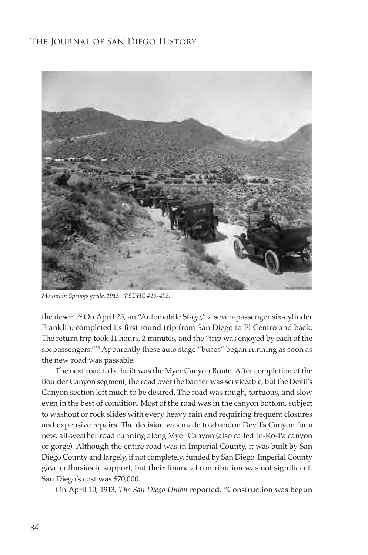

*Mountain Springs grade, 1913 . ©SDHC #16-408.*

the desert.52 On April 25, an "Automobile Stage," a seven-passenger six-cylinder Franklin, completed its first round trip from San Diego to El Centro and back. The return trip took 11 hours, 2 minutes, and the "trip was enjoyed by each of the six passengers."53 Apparently these auto stage "buses" began running as soon as the new road was passable.

The next road to be built was the Myer Canyon Route. After completion of the Boulder Canyon segment, the road over the barrier was serviceable, but the Devil's Canyon section left much to be desired. The road was rough, tortuous, and slow even in the best of condition. Most of the road was in the canyon bottom, subject to washout or rock slides with every heavy rain and requiring frequent closures and expensive repairs. The decision was made to abandon Devil's Canyon for a new, all-weather road running along Myer Canyon (also called In-Ko-Pa canyon or gorge). Although the entire road was in Imperial County, it was built by San Diego County and largely, if not completely, funded by San Diego. Imperial County gave enthusiastic support, but their financial contribution was not significant. San Diego's cost was \$70,000.

On April 10, 1913, *The San Diego Union* reported, "Construction was begun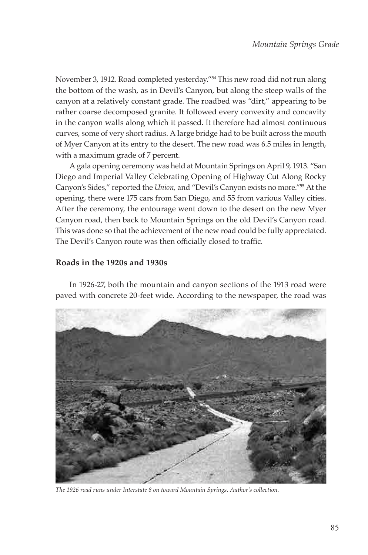November 3, 1912. Road completed yesterday."54 This new road did not run along the bottom of the wash, as in Devil's Canyon, but along the steep walls of the canyon at a relatively constant grade. The roadbed was "dirt," appearing to be rather coarse decomposed granite. It followed every convexity and concavity in the canyon walls along which it passed. It therefore had almost continuous curves, some of very short radius. A large bridge had to be built across the mouth of Myer Canyon at its entry to the desert. The new road was 6.5 miles in length, with a maximum grade of 7 percent.

A gala opening ceremony was held at Mountain Springs on April 9, 1913. "San Diego and Imperial Valley Celebrating Opening of Highway Cut Along Rocky Canyon's Sides," reported the *Union,* and "Devil's Canyon exists no more."55 At the opening, there were 175 cars from San Diego, and 55 from various Valley cities. After the ceremony, the entourage went down to the desert on the new Myer Canyon road, then back to Mountain Springs on the old Devil's Canyon road. This was done so that the achievement of the new road could be fully appreciated. The Devil's Canyon route was then officially closed to traffic.

## **Roads in the 1920s and 1930s**

In 1926-27, both the mountain and canyon sections of the 1913 road were paved with concrete 20-feet wide. According to the newspaper, the road was



*The 1926 road runs under Interstate 8 on toward Mountain Springs. Author's collection.*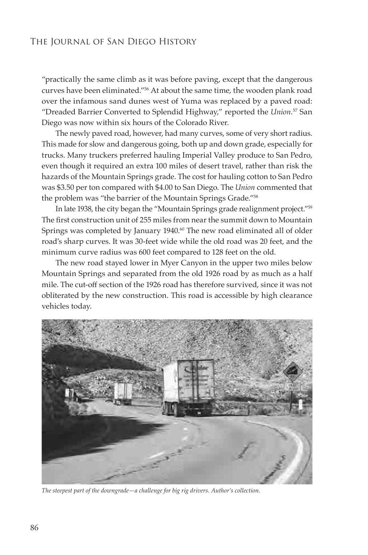"practically the same climb as it was before paving, except that the dangerous curves have been eliminated."56 At about the same time, the wooden plank road over the infamous sand dunes west of Yuma was replaced by a paved road: "Dreaded Barrier Converted to Splendid Highway," reported the *Union*. <sup>57</sup> San Diego was now within six hours of the Colorado River.

The newly paved road, however, had many curves, some of very short radius. This made for slow and dangerous going, both up and down grade, especially for trucks. Many truckers preferred hauling Imperial Valley produce to San Pedro, even though it required an extra 100 miles of desert travel, rather than risk the hazards of the Mountain Springs grade. The cost for hauling cotton to San Pedro was \$3.50 per ton compared with \$4.00 to San Diego. The *Union* commented that the problem was "the barrier of the Mountain Springs Grade."58

In late 1938, the city began the "Mountain Springs grade realignment project."59 The first construction unit of 255 miles from near the summit down to Mountain Springs was completed by January 1940.<sup>60</sup> The new road eliminated all of older road's sharp curves. It was 30-feet wide while the old road was 20 feet, and the minimum curve radius was 600 feet compared to 128 feet on the old.

The new road stayed lower in Myer Canyon in the upper two miles below Mountain Springs and separated from the old 1926 road by as much as a half mile. The cut-off section of the 1926 road has therefore survived, since it was not obliterated by the new construction. This road is accessible by high clearance vehicles today.



*The steepest part of the downgrade—a challenge for big rig drivers. Author's collection.*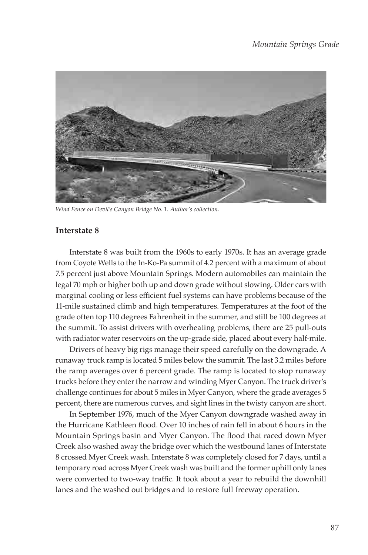

*Wind Fence on Devil's Canyon Bridge No. 1. Author's collection.*

#### **Interstate 8**

Interstate 8 was built from the 1960s to early 1970s. It has an average grade from Coyote Wells to the In-Ko-Pa summit of 4.2 percent with a maximum of about 7.5 percent just above Mountain Springs. Modern automobiles can maintain the legal 70 mph or higher both up and down grade without slowing. Older cars with marginal cooling or less efficient fuel systems can have problems because of the 11-mile sustained climb and high temperatures. Temperatures at the foot of the grade often top 110 degrees Fahrenheit in the summer, and still be 100 degrees at the summit. To assist drivers with overheating problems, there are 25 pull-outs with radiator water reservoirs on the up-grade side, placed about every half-mile.

Drivers of heavy big rigs manage their speed carefully on the downgrade. A runaway truck ramp is located 5 miles below the summit. The last 3.2 miles before the ramp averages over 6 percent grade. The ramp is located to stop runaway trucks before they enter the narrow and winding Myer Canyon. The truck driver's challenge continues for about 5 miles in Myer Canyon, where the grade averages 5 percent, there are numerous curves, and sight lines in the twisty canyon are short.

In September 1976, much of the Myer Canyon downgrade washed away in the Hurricane Kathleen flood. Over 10 inches of rain fell in about 6 hours in the Mountain Springs basin and Myer Canyon. The flood that raced down Myer Creek also washed away the bridge over which the westbound lanes of Interstate 8 crossed Myer Creek wash. Interstate 8 was completely closed for 7 days, until a temporary road across Myer Creek wash was built and the former uphill only lanes were converted to two-way traffic. It took about a year to rebuild the downhill lanes and the washed out bridges and to restore full freeway operation.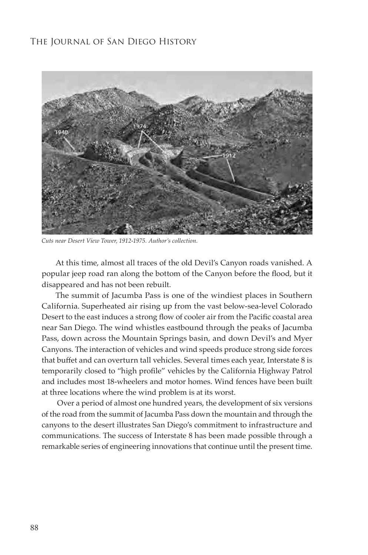

*Cuts near Desert View Tower, 1912-1975. Author's collection.*

At this time, almost all traces of the old Devil's Canyon roads vanished. A popular jeep road ran along the bottom of the Canyon before the flood, but it disappeared and has not been rebuilt.

The summit of Jacumba Pass is one of the windiest places in Southern California. Superheated air rising up from the vast below-sea-level Colorado Desert to the east induces a strong flow of cooler air from the Pacific coastal area near San Diego. The wind whistles eastbound through the peaks of Jacumba Pass, down across the Mountain Springs basin, and down Devil's and Myer Canyons. The interaction of vehicles and wind speeds produce strong side forces that buffet and can overturn tall vehicles. Several times each year, Interstate 8 is temporarily closed to "high profile" vehicles by the California Highway Patrol and includes most 18-wheelers and motor homes. Wind fences have been built at three locations where the wind problem is at its worst.

 Over a period of almost one hundred years, the development of six versions of the road from the summit of Jacumba Pass down the mountain and through the canyons to the desert illustrates San Diego's commitment to infrastructure and communications. The success of Interstate 8 has been made possible through a remarkable series of engineering innovations that continue until the present time.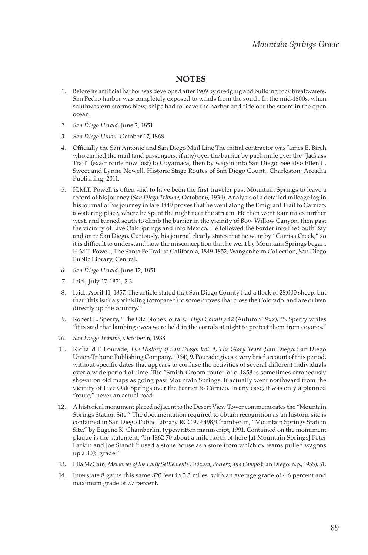## **NOTES**

- 1. Before its artificial harbor was developed after 1909 by dredging and building rock breakwaters, San Pedro harbor was completely exposed to winds from the south. In the mid-1800s, when southwestern storms blew, ships had to leave the harbor and ride out the storm in the open ocean.
- *2. San Diego Herald*, June 2, 1851.
- *3. San Diego Union*, October 17, 1868.
- 4. Officially the San Antonio and San Diego Mail Line The initial contractor was James E. Birch who carried the mail (and passengers, if any) over the barrier by pack mule over the "Jackass Trail" (exact route now lost) to Cuyamaca, then by wagon into San Diego. See also Ellen L. Sweet and Lynne Newell, Historic Stage Routes of San Diego Count,. Charleston: Arcadia Publishing, 2011.
- 5. H.M.T. Powell is often said to have been the first traveler past Mountain Springs to leave a record of his journey (*San Diego Tribune*, October 6, 1934). Analysis of a detailed mileage log in his journal of his journey in late 1849 proves that he went along the Emigrant Trail to Carrizo, a watering place, where he spent the night near the stream. He then went four miles further west, and turned south to climb the barrier in the vicinity of Bow Willow Canyon, then past the vicinity of Live Oak Springs and into Mexico. He followed the border into the South Bay and on to San Diego. Curiously, his journal clearly states that he went by "Carrisa Creek," so it is difficult to understand how the misconception that he went by Mountain Springs began. H.M.T. Powell, The Santa Fe Trail to California, 1849-1852, Wangenheim Collection, San Diego Public Library, Central.
- *6. San Diego Herald*, June 12, 1851.
- 7. Ibid., July 17, 1851, 2:3
- 8. Ibid., April 11, 1857. The article stated that San Diego County had a flock of 28,000 sheep, but that "this isn't a sprinkling (compared) to some droves that cross the Colorado, and are driven directly up the country."
- 9. Robert L. Sperry, "The Old Stone Corrals," *High Country* 42 (Autumn 19xx), 35. Sperry writes "it is said that lambing ewes were held in the corrals at night to protect them from coyotes."
- *10. San Diego Tribune*, October 6, 1938
- 11. Richard F. Pourade, *The History of San Diego: Vol. 4, The Glory Years* (San Diego: San Diego Union-Tribune Publishing Company, 1964), 9. Pourade gives a very brief account of this period, without specific dates that appears to confuse the activities of several different individuals over a wide period of time. The "Smith-Groom route" of c. 1858 is sometimes erroneously shown on old maps as going past Mountain Springs. It actually went northward from the vicinity of Live Oak Springs over the barrier to Carrizo. In any case, it was only a planned "route," never an actual road.
- 12. A historical monument placed adjacent to the Desert View Tower commemorates the "Mountain Springs Station Site." The documentation required to obtain recognition as an historic site is contained in San Diego Public Library RCC 979.498/Chamberlin, "Mountain Springs Station Site," by Eugene K. Chamberlin, typewritten manuscript, 1991. Contained on the monument plaque is the statement, "In 1862-70 about a mile north of here [at Mountain Springs] Peter Larkin and Joe Stancliff used a stone house as a store from which ox teams pulled wagons up a 30% grade."
- 13. Ella McCain, *Memories of the Early Settlements Dulzura, Potrero, and Campo* (San Diego: n.p., 1955), 51.
- 14. Interstate 8 gains this same 820 feet in 3.3 miles, with an average grade of 4.6 percent and maximum grade of 7.7 percent.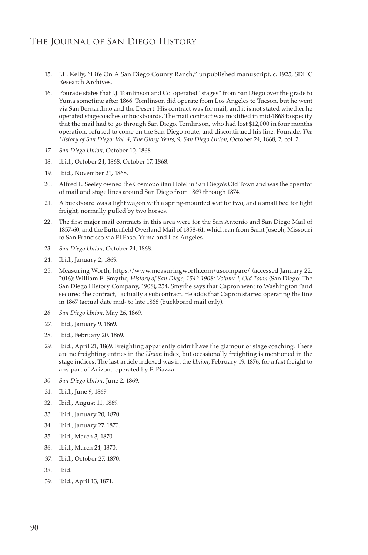- 15. J.L. Kelly, "Life On A San Diego County Ranch," unpublished manuscript, c. 1925, SDHC Research Archives.
- 16. Pourade states that J.J. Tomlinson and Co. operated "stages" from San Diego over the grade to Yuma sometime after 1866. Tomlinson did operate from Los Angeles to Tucson, but he went via San Bernardino and the Desert. His contract was for mail, and it is not stated whether he operated stagecoaches or buckboards. The mail contract was modified in mid-1868 to specify that the mail had to go through San Diego. Tomlinson, who had lost \$12,000 in four months operation, refused to come on the San Diego route, and discontinued his line. Pourade, *The History of San Diego: Vol. 4, The Glory Years,* 9; *San Diego Union*, October 24, 1868, 2, col. 2.
- *17. San Diego Union*, October 10, 1868.
- 18. Ibid., October 24, 1868, October 17, 1868.
- 19. Ibid., November 21, 1868.
- 20. Alfred L. Seeley owned the Cosmopolitan Hotel in San Diego's Old Town and was the operator of mail and stage lines around San Diego from 1869 through 1874.
- 21. A buckboard was a light wagon with a spring-mounted seat for two, and a small bed for light freight, normally pulled by two horses.
- 22. The first major mail contracts in this area were for the San Antonio and San Diego Mail of 1857-60, and the Butterfield Overland Mail of 1858-61, which ran from Saint Joseph, Missouri to San Francisco via El Paso, Yuma and Los Angeles.
- *23. San Diego Union*, October 24, 1868.
- 24. Ibid.*,* January 2, 1869.
- 25. Measuring Worth, https://www.measuringworth.com/uscompare/ (accessed January 22, 2016); William E. Smythe, *History of San Diego, 1542-1908: Volume I, Old Town* (San Diego: The San Diego History Company, 1908), 254. Smythe says that Capron went to Washington "and secured the contract," actually a subcontract. He adds that Capron started operating the line in 1867 (actual date mid- to late 1868 (buckboard mail only).
- *26. San Diego Union,* May 26, 1869.
- 27. Ibid.*,* January 9, 1869.
- 28. Ibid.*,* February 20, 1869.
- 29. Ibid.*,* April 21, 1869. Freighting apparently didn't have the glamour of stage coaching. There are no freighting entries in the *Union* index, but occasionally freighting is mentioned in the stage indices. The last article indexed was in the *Union*, February 19, 1876, for a fast freight to any part of Arizona operated by F. Piazza.
- *30. San Diego Union,* June 2, 1869.
- 31. Ibid., June 9, 1869.
- 32. Ibid., August 11, 1869.
- 33. Ibid., January 20, 1870.
- 34. Ibid., January 27, 1870.
- 35. Ibid., March 3, 1870.
- 36. Ibid., March 24, 1870.
- 37. Ibid., October 27, 1870.
- 38. Ibid.
- 39. Ibid., April 13, 1871.